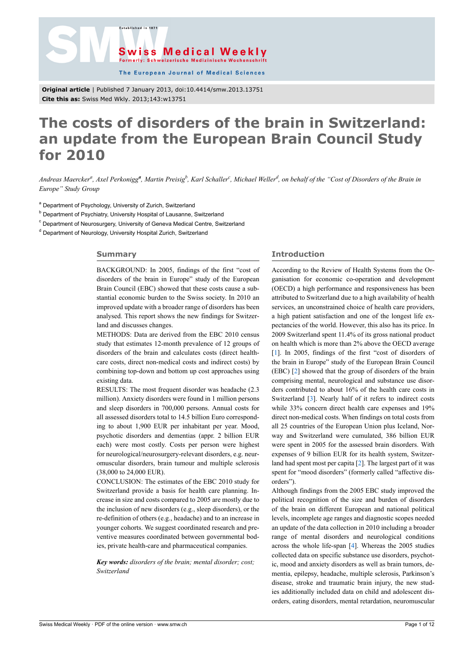

The European Journal of Medical Sciences

**Original article** | Published 7 January 2013, doi:10.4414/smw.2013.13751 **Cite this as:** Swiss Med Wkly. 2013;143:w13751

.<br>Established in 187

# **The costs of disorders of the brain in Switzerland: an update from the European Brain Council Study for 2010**

*Andreas Maercker<sup>a</sup> , Axel Perkonigg<sup>a</sup> , Martin Preisig<sup>b</sup> , Karl Schaller<sup>c</sup> , Michael Weller<sup>d</sup> , on behalf of the "Cost of Disorders of the Brain in Europe" Study Group*

<sup>a</sup> Department of Psychology, University of Zurich, Switzerland

<sup>b</sup> Department of Psychiatry, University Hospital of Lausanne, Switzerland

<sup>c</sup> Department of Neurosurgery, University of Geneva Medical Centre, Switzerland

<sup>d</sup> Department of Neurology, University Hospital Zurich, Switzerland

# **Summary**

BACKGROUND: In 2005, findings of the first "cost of disorders of the brain in Europe" study of the European Brain Council (EBC) showed that these costs cause a substantial economic burden to the Swiss society. In 2010 an improved update with a broader range of disorders has been analysed. This report shows the new findings for Switzerland and discusses changes.

METHODS: Data are derived from the EBC 2010 census study that estimates 12-month prevalence of 12 groups of disorders of the brain and calculates costs (direct healthcare costs, direct non-medical costs and indirect costs) by combining top-down and bottom up cost approaches using existing data.

RESULTS: The most frequent disorder was headache (2.3 million). Anxiety disorders were found in 1 million persons and sleep disorders in 700,000 persons. Annual costs for all assessed disorders total to 14.5 billion Euro corresponding to about 1,900 EUR per inhabitant per year. Mood, psychotic disorders and dementias (appr. 2 billion EUR each) were most costly. Costs per person were highest for neurological/neurosurgery-relevant disorders, e.g. neuromuscular disorders, brain tumour and multiple sclerosis (38,000 to 24,000 EUR).

CONCLUSION: The estimates of the EBC 2010 study for Switzerland provide a basis for health care planning. Increase in size and costs compared to 2005 are mostly due to the inclusion of new disorders (e.g., sleep disorders), or the re-definition of others (e.g., headache) and to an increase in younger cohorts. We suggest coordinated research and preventive measures coordinated between governmental bodies, private health-care and pharmaceutical companies.

*Key words: disorders of the brain; mental disorder; cost; Switzerland*

# **Introduction**

According to the Review of Health Systems from the Organisation for economic co-operation and development (OECD) a high performance and responsiveness has been attributed to Switzerland due to a high availability of health services, an unconstrained choice of health care providers, a high patient satisfaction and one of the longest life expectancies of the world. However, this also has its price. In 2009 Switzerland spent 11.4% of its gross national product on health which is more than 2% above the OECD average [[1](#page-7-0)]. In 2005, findings of the first "cost of disorders of the brain in Europe" study of the European Brain Council (EBC) [[2](#page-7-1)] showed that the group of disorders of the brain comprising mental, neurological and substance use disorders contributed to about 16% of the health care costs in Switzerland [\[3\]](#page-7-2). Nearly half of it refers to indirect costs while 33% concern direct health care expenses and 19% direct non-medical costs. When findings on total costs from all 25 countries of the European Union plus Iceland, Norway and Switzerland were cumulated, 386 billion EUR were spent in 2005 for the assessed brain disorders. With expenses of 9 billion EUR for its health system, Switzerland had spent most per capita [\[2\]](#page-7-1). The largest part of it was spent for "mood disorders" (formerly called "affective disorders").

Although findings from the 2005 EBC study improved the political recognition of the size and burden of disorders of the brain on different European and national political levels, incomplete age ranges and diagnostic scopes needed an update of the data collection in 2010 including a broader range of mental disorders and neurological conditions across the whole life-span [\[4\]](#page-7-3). Whereas the 2005 studies collected data on specific substance use disorders, psychotic, mood and anxiety disorders as well as brain tumors, dementia, epilepsy, headache, multiple sclerosis, Parkinson's disease, stroke and traumatic brain injury, the new studies additionally included data on child and adolescent disorders, eating disorders, mental retardation, neuromuscular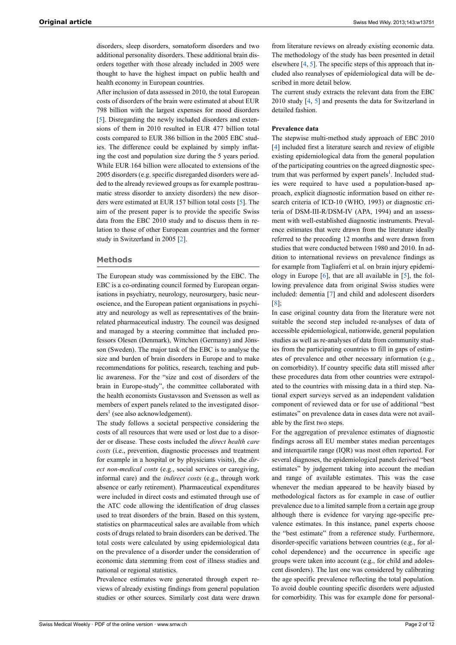disorders, sleep disorders, somatoform disorders and two additional personality disorders. These additional brain disorders together with those already included in 2005 were thought to have the highest impact on public health and health economy in European countries.

After inclusion of data assessed in 2010, the total European costs of disorders of the brain were estimated at about EUR 798 billion with the largest expenses for mood disorders [\[5\]](#page-7-4). Disregarding the newly included disorders and extensions of them in 2010 resulted in EUR 477 billion total costs compared to EUR 386 billion in the 2005 EBC studies. The difference could be explained by simply inflating the cost and population size during the 5 years period. While EUR 164 billion were allocated to extensions of the 2005 disorders (e.g. specific disregarded disorders were added to the already reviewed groups as for example posttraumatic stress disorder to anxiety disorders) the new disorders were estimated at EUR 157 billion total costs [\[5\]](#page-7-4). The aim of the present paper is to provide the specific Swiss data from the EBC 2010 study and to discuss them in relation to those of other European countries and the former study in Switzerland in 2005 [[2](#page-7-1)].

#### **Methods**

The European study was commissioned by the EBC. The EBC is a co-ordinating council formed by European organisations in psychiatry, neurology, neurosurgery, basic neuroscience, and the European patient organisations in psychiatry and neurology as well as representatives of the brainrelated pharmaceutical industry. The council was designed and managed by a steering committee that included professors Olesen (Denmark), Wittchen (Germany) and Jönsson (Sweden). The major task of the EBC is to analyse the size and burden of brain disorders in Europe and to make recommendations for politics, research, teaching and public awareness. For the "size and cost of disorders of the brain in Europe-study", the committee collaborated with the health economists Gustavsson and Svensson as well as members of expert panels related to the investigated disorders<sup>1</sup> (see also acknowledgement).

The study follows a societal perspective considering the costs of all resources that were used or lost due to a disorder or disease. These costs included the *direct health care costs* (i.e., prevention, diagnostic processes and treatment for example in a hospital or by physicians visits), the *direct non-medical costs* (e.g., social services or caregiving, informal care) and the *indirect costs* (e.g., through work absence or early retirement). Pharmaceutical expenditures were included in direct costs and estimated through use of the ATC code allowing the identification of drug classes used to treat disorders of the brain. Based on this system, statistics on pharmaceutical sales are available from which costs of drugs related to brain disorders can be derived. The total costs were calculated by using epidemiological data on the prevalence of a disorder under the consideration of economic data stemming from cost of illness studies and national or regional statistics.

Prevalence estimates were generated through expert reviews of already existing findings from general population studies or other sources. Similarly cost data were drawn

from literature reviews on already existing economic data. The methodology of the study has been presented in detail elsewhere [[4](#page-7-3), [5\]](#page-7-4). The specific steps of this approach that included also reanalyses of epidemiological data will be described in more detail below.

The current study extracts the relevant data from the EBC 2010 study [[4](#page-7-3), [5\]](#page-7-4) and presents the data for Switzerland in detailed fashion.

# **Prevalence data**

The stepwise multi-method study approach of EBC 2010 [[4](#page-7-3)] included first a literature search and review of eligible existing epidemiological data from the general population of the participating countries on the agreed diagnostic spectrum that was performed by expert panels<sup>1</sup>. Included studies were required to have used a population-based approach, explicit diagnostic information based on either research criteria of ICD-10 (WHO, 1993) or diagnostic criteria of DSM-III-R/DSM-IV (APA, 1994) and an assessment with well-established diagnostic instruments. Prevalence estimates that were drawn from the literature ideally referred to the preceding 12 months and were drawn from studies that were conducted between 1980 and 2010. In addition to international reviews on prevalence findings as for example from Tagliaferri et al. on brain injury epidemiology in Europe [[6](#page-7-5)], that are all available in [[5](#page-7-4)], the following prevalence data from original Swiss studies were included: dementia [[7](#page-7-6)] and child and adolescent disorders [[8](#page-7-7)];

In case original country data from the literature were not suitable the second step included re-analyses of data of accessible epidemiological, nationwide, general population studies as well as re-analyses of data from community studies from the participating countries to fill in gaps of estimates of prevalence and other necessary information (e.g., on comorbidity). If country specific data still missed after these procedures data from other countries were extrapolated to the countries with missing data in a third step. National expert surveys served as an independent validation component of reviewed data or for use of additional "best estimates" on prevalence data in cases data were not available by the first two steps.

For the aggregation of prevalence estimates of diagnostic findings across all EU member states median percentages and interquartile range (IQR) was most often reported. For several diagnoses, the epidemiological panels derived "best estimates" by judgement taking into account the median and range of available estimates. This was the case whenever the median appeared to be heavily biased by methodological factors as for example in case of outlier prevalence due to a limited sample from a certain age group although there is evidence for varying age-specific prevalence estimates. In this instance, panel experts choose the "best estimate" from a reference study. Furthermore, disorder-specific variations between countries (e.g., for alcohol dependence) and the occurrence in specific age groups were taken into account (e.g., for child and adolescent disorders). The last one was considered by calibrating the age specific prevalence reflecting the total population. To avoid double counting specific disorders were adjusted for comorbidity. This was for example done for personal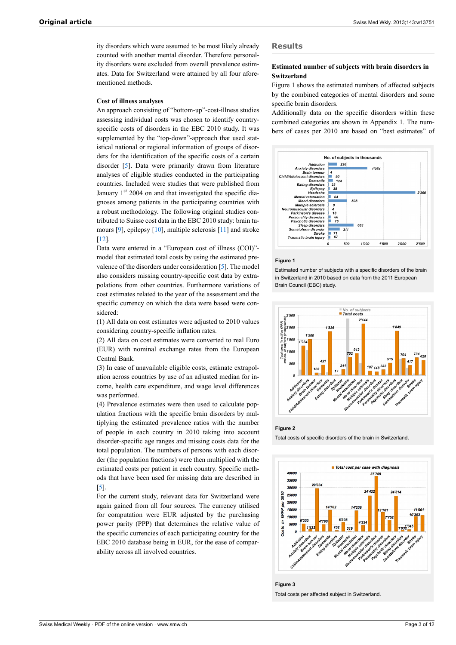ity disorders which were assumed to be most likely already counted with another mental disorder. Therefore personality disorders were excluded from overall prevalence estimates. Data for Switzerland were attained by all four aforementioned methods.

#### **Cost of illness analyses**

An approach consisting of "bottom-up"-cost-illness studies assessing individual costs was chosen to identify countryspecific costs of disorders in the EBC 2010 study. It was supplemented by the "top-down"-approach that used statistical national or regional information of groups of disorders for the identification of the specific costs of a certain disorder [[5](#page-7-4)]. Data were primarily drawn from literature analyses of eligible studies conducted in the participating countries. Included were studies that were published from January 1<sup>st</sup> 2004 on and that investigated the specific diagnoses among patients in the participating countries with a robust methodology. The following original studies contributed to Suisse cost data in the EBC 2010 study: brain tumours [[9](#page-7-8)], epilepsy [\[10](#page-7-9)], multiple sclerosis [[11\]](#page-7-10) and stroke [\[12](#page-7-11)].

Data were entered in a "European cost of illness (COI)" model that estimated total costs by using the estimated prevalence of the disorders under consideration [\[5\]](#page-7-4). The model also considers missing country-specific cost data by extrapolations from other countries. Furthermore variations of cost estimates related to the year of the assessment and the specific currency on which the data were based were considered:

(1) All data on cost estimates were adjusted to 2010 values considering country-specific inflation rates.

(2) All data on cost estimates were converted to real Euro (EUR) with nominal exchange rates from the European Central Bank.

(3) In case of unavailable eligible costs, estimate extrapolation across countries by use of an adjusted median for income, health care expenditure, and wage level differences was performed.

(4) Prevalence estimates were then used to calculate population fractions with the specific brain disorders by multiplying the estimated prevalence ratios with the number of people in each country in 2010 taking into account disorder-specific age ranges and missing costs data for the total population. The numbers of persons with each disorder (the population fractions) were then multiplied with the estimated costs per patient in each country. Specific methods that have been used for missing data are described in [\[5\]](#page-7-4).

For the current study, relevant data for Switzerland were again gained from all four sources. The currency utilised for computation were EUR adjusted by the purchasing power parity (PPP) that determines the relative value of the specific currencies of each participating country for the EBC 2010 database being in EUR, for the ease of comparability across all involved countries.

# **Results**

# **Estimated number of subjects with brain disorders in Switzerland**

Figure 1 shows the estimated numbers of affected subjects by the combined categories of mental disorders and some specific brain disorders.

Additionally data on the specific disorders within these combined categories are shown in Appendix 1. The numbers of cases per 2010 are based on "best estimates" of



#### **Figure 1**

Estimated number of subjects with a specific disorders of the brain in Switzerland in 2010 based on data from the 2011 European Brain Council (EBC) study.







**Figure 3** Total costs per affected subject in Switzerland.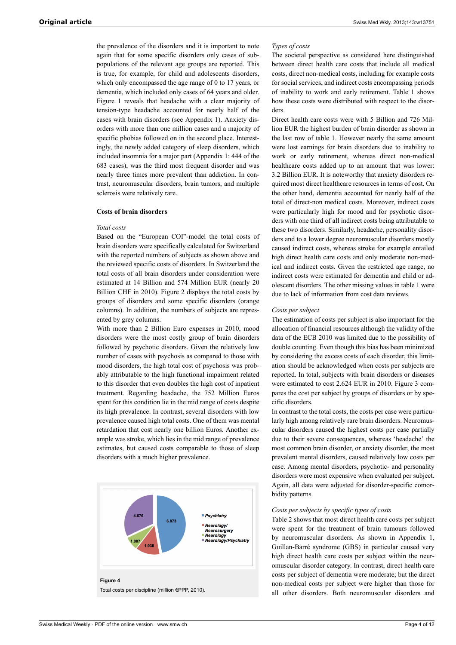the prevalence of the disorders and it is important to note again that for some specific disorders only cases of subpopulations of the relevant age groups are reported. This is true, for example, for child and adolescents disorders, which only encompassed the age range of 0 to 17 years, or dementia, which included only cases of 64 years and older. Figure 1 reveals that headache with a clear majority of tension-type headache accounted for nearly half of the cases with brain disorders (see Appendix 1). Anxiety disorders with more than one million cases and a majority of specific phobias followed on in the second place. Interestingly, the newly added category of sleep disorders, which included insomnia for a major part (Appendix 1: 444 of the 683 cases), was the third most frequent disorder and was nearly three times more prevalent than addiction. In contrast, neuromuscular disorders, brain tumors, and multiple sclerosis were relatively rare.

#### **Costs of brain disorders**

#### *Total costs*

Based on the "European COI"-model the total costs of brain disorders were specifically calculated for Switzerland with the reported numbers of subjects as shown above and the reviewed specific costs of disorders. In Switzerland the total costs of all brain disorders under consideration were estimated at 14 Billion and 574 Million EUR (nearly 20 Billion CHF in 2010). Figure 2 displays the total costs by groups of disorders and some specific disorders (orange columns). In addition, the numbers of subjects are represented by grey columns.

With more than 2 Billion Euro expenses in 2010, mood disorders were the most costly group of brain disorders followed by psychotic disorders. Given the relatively low number of cases with psychosis as compared to those with mood disorders, the high total cost of psychosis was probably attributable to the high functional impairment related to this disorder that even doubles the high cost of inpatient treatment. Regarding headache, the 752 Million Euros spent for this condition lie in the mid range of costs despite its high prevalence. In contrast, several disorders with low prevalence caused high total costs. One of them was mental retardation that cost nearly one billion Euros. Another example was stroke, which lies in the mid range of prevalence estimates, but caused costs comparable to those of sleep disorders with a much higher prevalence.



#### *Types of costs*

The societal perspective as considered here distinguished between direct health care costs that include all medical costs, direct non-medical costs, including for example costs for social services, and indirect costs encompassing periods of inability to work and early retirement. Table 1 shows how these costs were distributed with respect to the disorders.

Direct health care costs were with 5 Billion and 726 Million EUR the highest burden of brain disorder as shown in the last row of table 1. However nearly the same amount were lost earnings for brain disorders due to inability to work or early retirement, whereas direct non-medical healthcare costs added up to an amount that was lower: 3.2 Billion EUR. It is noteworthy that anxiety disorders required most direct healthcare resources in terms of cost. On the other hand, dementia accounted for nearly half of the total of direct-non medical costs. Moreover, indirect costs were particularly high for mood and for psychotic disorders with one third of all indirect costs being attributable to these two disorders. Similarly, headache, personality disorders and to a lower degree neuromuscular disorders mostly caused indirect costs, whereas stroke for example entailed high direct health care costs and only moderate non-medical and indirect costs. Given the restricted age range, no indirect costs were estimated for dementia and child or adolescent disorders. The other missing values in table 1 were due to lack of information from cost data reviews.

## *Costs per subject*

The estimation of costs per subject is also important for the allocation of financial resources although the validity of the data of the ECB 2010 was limited due to the possibility of double counting. Even though this bias has been minimized by considering the excess costs of each disorder, this limitation should be acknowledged when costs per subjects are reported. In total, subjects with brain disorders or diseases were estimated to cost 2.624 EUR in 2010. Figure 3 compares the cost per subject by groups of disorders or by specific disorders.

In contrast to the total costs, the costs per case were particularly high among relatively rare brain disorders. Neuromuscular disorders caused the highest costs per case partially due to their severe consequences, whereas 'headache' the most common brain disorder, or anxiety disorder, the most prevalent mental disorders, caused relatively low costs per case. Among mental disorders, psychotic- and personality disorders were most expensive when evaluated per subject. Again, all data were adjusted for disorder-specific comorbidity patterns.

#### *Costs per subjects by specific types of costs*

Table 2 shows that most direct health care costs per subject were spent for the treatment of brain tumours followed by neuromuscular disorders. As shown in Appendix 1, Guillan-Barré syndrome (GBS) in particular caused very high direct health care costs per subject within the neuromuscular disorder category. In contrast, direct health care costs per subject of dementia were moderate; but the direct non-medical costs per subject were higher than those for all other disorders. Both neuromuscular disorders and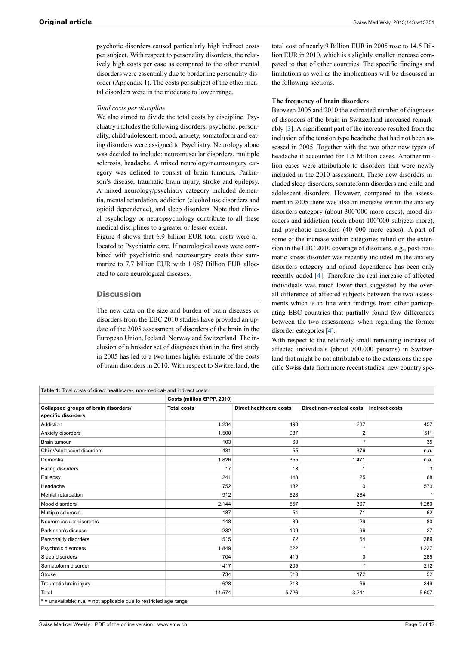psychotic disorders caused particularly high indirect costs per subject. With respect to personality disorders, the relatively high costs per case as compared to the other mental disorders were essentially due to borderline personality disorder (Appendix 1). The costs per subject of the other mental disorders were in the moderate to lower range.

#### *Total costs per discipline*

We also aimed to divide the total costs by discipline. Psychiatry includes the following disorders: psychotic, personality, child/adolescent, mood, anxiety, somatoform and eating disorders were assigned to Psychiatry. Neurology alone was decided to include: neuromuscular disorders, multiple sclerosis, headache. A mixed neurology/neurosurgery category was defined to consist of brain tumours, Parkinson's disease, traumatic brain injury, stroke and epilepsy. A mixed neurology/psychiatry category included dementia, mental retardation, addiction (alcohol use disorders and opioid dependence), and sleep disorders. Note that clinical psychology or neuropsychology contribute to all these medical disciplines to a greater or lesser extent.

Figure 4 shows that 6.9 billion EUR total costs were allocated to Psychiatric care. If neurological costs were combined with psychiatric and neurosurgery costs they summarize to 7.7 billion EUR with 1.087 Billion EUR allocated to core neurological diseases.

#### **Discussion**

The new data on the size and burden of brain diseases or disorders from the EBC 2010 studies have provided an update of the 2005 assessment of disorders of the brain in the European Union, Iceland, Norway and Switzerland. The inclusion of a broader set of diagnoses than in the first study in 2005 has led to a two times higher estimate of the costs of brain disorders in 2010. With respect to Switzerland, the total cost of nearly 9 Billion EUR in 2005 rose to 14.5 Billion EUR in 2010, which is a slightly smaller increase compared to that of other countries. The specific findings and limitations as well as the implications will be discussed in the following sections.

#### **The frequency of brain disorders**

Between 2005 and 2010 the estimated number of diagnoses of disorders of the brain in Switzerland increased remarkably [\[3\]](#page-7-2). A significant part of the increase resulted from the inclusion of the tension type headache that had not been assessed in 2005. Together with the two other new types of headache it accounted for 1.5 Million cases. Another million cases were attributable to disorders that were newly included in the 2010 assessment. These new disorders included sleep disorders, somatoform disorders and child and adolescent disorders. However, compared to the assessment in 2005 there was also an increase within the anxiety disorders category (about 300'000 more cases), mood disorders and addiction (each about 100'000 subjects more), and psychotic disorders (40 000 more cases). A part of some of the increase within categories relied on the extension in the EBC 2010 coverage of disorders, e.g., post-traumatic stress disorder was recently included in the anxiety disorders category and opioid dependence has been only recently added [[4](#page-7-3)]. Therefore the real increase of affected individuals was much lower than suggested by the overall difference of affected subjects between the two assessments which is in line with findings from other participating EBC countries that partially found few differences between the two assessments when regarding the former disorder categories [[4\]](#page-7-3).

With respect to the relatively small remaining increase of affected individuals (about 700.000 persons) in Switzerland that might be not attributable to the extensions the specific Swiss data from more recent studies, new country spe-

| Table 1: Total costs of direct healthcare-, non-medical- and indirect costs. |                            |                                |                          |                       |  |  |  |
|------------------------------------------------------------------------------|----------------------------|--------------------------------|--------------------------|-----------------------|--|--|--|
|                                                                              | Costs (million €PPP, 2010) |                                |                          |                       |  |  |  |
| Collapsed groups of brain disorders/                                         | <b>Total costs</b>         | <b>Direct healthcare costs</b> | Direct non-medical costs | <b>Indirect costs</b> |  |  |  |
| specific disorders                                                           |                            |                                |                          |                       |  |  |  |
| Addiction                                                                    | 1.234                      | 490                            | 287                      | 457                   |  |  |  |
| Anxiety disorders                                                            | 1.500                      | 987                            | 2                        | 511                   |  |  |  |
| <b>Brain tumour</b>                                                          | 103                        | 68                             |                          | 35                    |  |  |  |
| Child/Adolescent disorders                                                   | 431                        | 55                             | 376                      | n.a.                  |  |  |  |
| Dementia                                                                     | 1.826                      | 355                            | 1.471                    | n.a.                  |  |  |  |
| Eating disorders                                                             | 17                         | 13                             |                          | 3                     |  |  |  |
| Epilepsy                                                                     | 241                        | 148                            | 25                       | 68                    |  |  |  |
| Headache                                                                     | 752                        | 182                            | $\Omega$                 | 570                   |  |  |  |
| Mental retardation                                                           | 912                        | 628                            | 284                      | $\star$               |  |  |  |
| Mood disorders                                                               | 2.144                      | 557                            | 307                      | 1.280                 |  |  |  |
| Multiple sclerosis                                                           | 187                        | 54                             | 71                       | 62                    |  |  |  |
| Neuromuscular disorders                                                      | 148                        | 39                             | 29                       | 80                    |  |  |  |
| Parkinson's disease                                                          | 232                        | 109                            | 96                       | 27                    |  |  |  |
| Personality disorders                                                        | 515                        | 72                             | 54                       | 389                   |  |  |  |
| Psychotic disorders                                                          | 1.849                      | 622                            | $\star$                  | 1.227                 |  |  |  |
| Sleep disorders                                                              | 704                        | 419                            | $\Omega$                 | 285                   |  |  |  |
| Somatoform disorder                                                          | 417                        | 205                            | ÷                        | 212                   |  |  |  |
| Stroke                                                                       | 734                        | 510                            | 172                      | 52                    |  |  |  |
| Traumatic brain injury                                                       | 628                        | 213                            | 66                       | 349                   |  |  |  |
| Total                                                                        | 14.574                     | 5.726                          | 3.241                    | 5.607                 |  |  |  |
| $* =$ unavailable: n a $=$ not annicable due to restricted ane range         |                            |                                |                          |                       |  |  |  |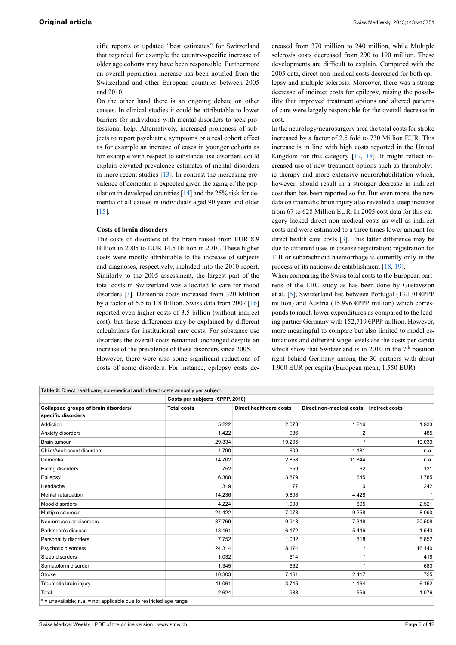cific reports or updated "best estimates" for Switzerland that regarded for example the country-specific increase of older age cohorts may have been responsible. Furthermore an overall population increase has been notified from the Switzerland and other European countries between 2005 and 2010,

On the other hand there is an ongoing debate on other causes. In clinical studies it could be attributable to lower barriers for individuals with mental disorders to seek professional help. Alternatively, increased proneness of subjects to report psychiatric symptoms or a real cohort effect as for example an increase of cases in younger cohorts as for example with respect to substance use disorders could explain elevated prevalence estimates of mental disorders in more recent studies [\[13](#page-7-12)]. In contrast the increasing prevalence of dementia is expected given the aging of the population in developed countries  $[14]$  $[14]$  and the 25% risk for dementia of all causes in individuals aged 90 years and older  $[15]$  $[15]$ .

#### **Costs of brain disorders**

The costs of disorders of the brain raised from EUR 8.9 Billion in 2005 to EUR 14.5 Billion in 2010. These higher costs were mostly attributable to the increase of subjects and diagnoses, respectively, included into the 2010 report. Similarly to the 2005 assessment, the largest part of the total costs in Switzerland was allocated to care for mood disorders [\[3\]](#page-7-2). Dementia costs increased from 320 Million by a factor of 5.5 to 1.8 Billion. Swiss data from 2007 [\[16](#page-7-15)] reported even higher costs of 3.5 billion (without indirect cost), but these differences may be explained by different calculations for institutional care costs. For substance use disorders the overall costs remained unchanged despite an increase of the prevalence of these disorders since 2005.

However, there were also some significant reductions of costs of some disorders. For instance, epilepsy costs decreased from 370 million to 240 million, while Multiple sclerosis costs decreased from 290 to 190 million. These developments are difficult to explain. Compared with the 2005 data, direct non-medical costs decreased for both epilepsy and multiple sclerosis. Moreover, there was a strong decrease of indirect costs for epilepsy, raising the possibility that improved treatment options and altered patterns of care were largely responsible for the overall decrease in cost.

In the neurology/neurosurgery area the total costs for stroke increased by a factor of 2.5 fold to 730 Million EUR. This increase is in line with high costs reported in the United Kingdom for this category [\[17](#page-7-16), [18](#page-7-17)]. It might reflect increased use of new treatment options such as thrombolytic therapy and more extensive neurorehabilitation which, however, should result in a stronger decrease in indirect cost than has been reported so far. But even more, the new data on traumatic brain injury also revealed a steep increase from 67 to 628 Million EUR. In 2005 cost data for this category lacked direct non-medical costs as well as indirect costs and were estimated to a three times lower amount for direct health care costs [\[3\]](#page-7-2). This latter difference may be due to different uses in disease registration; registration for TBI or subarachnoid haemorrhage is currently only in the process of its nationwide establishment [\[18](#page-7-17), [19\]](#page-7-18).

When comparing the Swiss total costs to the European partners of the EBC study as has been done by Gustavsson et al. [\[5\]](#page-7-4), Switzerland lies between Portugal (13.130 €PPP million) and Austria (15.996 €PPP million) which corresponds to much lower expenditures as compared to the leading partner Germany with 152,719 €PPP million. However, more meaningful to compare but also limited to model estimations and different wage levels are the costs per capita which show that Switzerland is in 2010 in the  $7<sup>th</sup>$  position right behind Germany among the 30 partners with about 1.900 EUR per capita (European mean, 1.550 EUR).

| Table 2: Direct healthcare, non-medical and indirect costs annually per subject. |                                 |                                |                                 |                       |  |  |  |  |
|----------------------------------------------------------------------------------|---------------------------------|--------------------------------|---------------------------------|-----------------------|--|--|--|--|
|                                                                                  | Costs per subjects (€PPP, 2010) |                                |                                 |                       |  |  |  |  |
| Collapsed groups of brain disorders/                                             | <b>Total costs</b>              | <b>Direct healthcare costs</b> | <b>Direct non-medical costs</b> | <b>Indirect costs</b> |  |  |  |  |
| specific disorders                                                               |                                 |                                |                                 |                       |  |  |  |  |
| Addiction                                                                        | 5.222                           | 2.073                          | 1.216                           | 1.933                 |  |  |  |  |
| Anxiety disorders                                                                | 1.422                           | 936                            | 2                               | 485                   |  |  |  |  |
| <b>Brain tumour</b>                                                              | 29.334                          | 19.295                         |                                 | 10.039                |  |  |  |  |
| Child/Adolescent disorders                                                       | 4.790                           | 609                            | 4.181                           | n.a.                  |  |  |  |  |
| Dementia                                                                         | 14.702                          | 2.858                          | 11.844                          | n.a.                  |  |  |  |  |
| Eating disorders                                                                 | 752                             | 559                            | 62                              | 131                   |  |  |  |  |
| Epilepsy                                                                         | 6.308                           | 3.879                          | 645                             | 1.785                 |  |  |  |  |
| Headache                                                                         | 319                             | 77                             | $\Omega$                        | 242                   |  |  |  |  |
| Mental retardation                                                               | 14.236                          | 9.808                          | 4.428                           |                       |  |  |  |  |
| Mood disorders                                                                   | 4.224                           | 1.098                          | 605                             | 2.521                 |  |  |  |  |
| Multiple sclerosis                                                               | 24.422                          | 7.073                          | 9.258                           | 8.090                 |  |  |  |  |
| Neuromuscular disorders                                                          | 37.769                          | 9.913                          | 7.348                           | 20.508                |  |  |  |  |
| Parkinson's disease                                                              | 13.161                          | 6.172                          | 5.446                           | 1.543                 |  |  |  |  |
| Personality disorders                                                            | 7.752                           | 1.082                          | 818                             | 5.852                 |  |  |  |  |
| Psychotic disorders                                                              | 24.314                          | 8.174                          |                                 | 16.140                |  |  |  |  |
| Sleep disorders                                                                  | 1.032                           | 614                            | $\star$                         | 418                   |  |  |  |  |
| Somatoform disorder                                                              | 1.345                           | 662                            |                                 | 683                   |  |  |  |  |
| <b>Stroke</b>                                                                    | 10.303                          | 7.161                          | 2.417                           | 725                   |  |  |  |  |
| Traumatic brain injury                                                           | 11.061                          | 3.745                          | 1.164                           | 6.152                 |  |  |  |  |
| Total                                                                            | 2.624                           | 988                            | 559                             | 1.076                 |  |  |  |  |
| * = unavailable; n.a. = not applicable due to restricted age range               |                                 |                                |                                 |                       |  |  |  |  |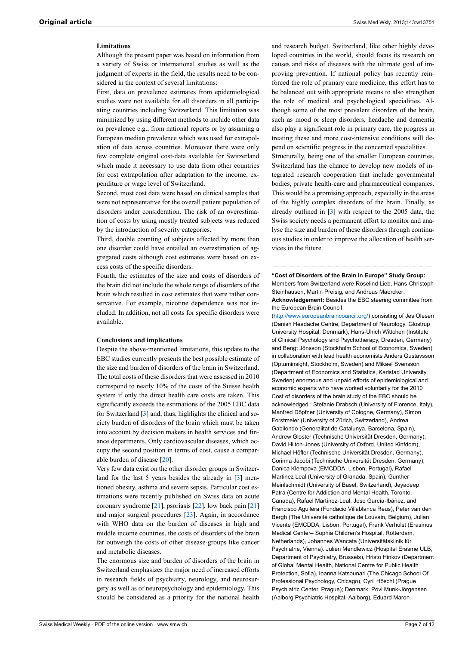# **Limitations**

Although the present paper was based on information from a variety of Swiss or international studies as well as the judgment of experts in the field, the results need to be considered in the context of several limitations:

First, data on prevalence estimates from epidemiological studies were not available for all disorders in all participating countries including Switzerland. This limitation was minimized by using different methods to include other data on prevalence e.g., from national reports or by assuming a European median prevalence which was used for extrapolation of data across countries. Moreover there were only few complete original cost-data available for Switzerland which made it necessary to use data from other countries for cost extrapolation after adaptation to the income, expenditure or wage level of Switzerland.

Second, most cost data were based on clinical samples that were not representative for the overall patient population of disorders under consideration. The risk of an overestimation of costs by using mostly treated subjects was reduced by the introduction of severity categories.

Third, double counting of subjects affected by more than one disorder could have entailed an overestimation of aggregated costs although cost estimates were based on excess costs of the specific disorders.

Fourth, the estimates of the size and costs of disorders of the brain did not include the whole range of disorders of the brain which resulted in cost estimates that were rather conservative. For example, nicotine dependence was not included. In addition, not all costs for specific disorders were available.

#### **Conclusions and implications**

Despite the above-mentioned limitations, this update to the EBC studies currently presents the best possible estimate of the size and burden of disorders of the brain in Switzerland. The total costs of these disorders that were assessed in 2010 correspond to nearly 10% of the costs of the Suisse health system if only the direct health care costs are taken. This significantly exceeds the estimations of the 2005 EBC data for Switzerland [[3](#page-7-2)] and, thus, highlights the clinical and society burden of disorders of the brain which must be taken into account by decision makers in health services and finance departments. Only cardiovascular diseases, which occupy the second position in terms of cost, cause a comparable burden of disease [\[20](#page-7-19)].

Very few data exist on the other disorder groups in Switzer-land for the last 5 years besides the already in [[3](#page-7-2)] mentioned obesity, asthma and severe sepsis. Particular cost estimations were recently published on Swiss data on acute coronary syndrome [[21\]](#page-7-20), psoriasis [\[22](#page-7-21)], low back pain [\[21](#page-7-20)] and major surgical procedures [\[23](#page-7-22)]. Again, in accordance with WHO data on the burden of diseases in high and middle income countries, the costs of disorders of the brain far outweigh the costs of other disease-groups like cancer and metabolic diseases.

The enormous size and burden of disorders of the brain in Switzerland emphasizes the major need of increased efforts in research fields of psychiatry, neurology, and neurosurgery as well as of neuropsychology and epidemiology. This should be considered as a priority for the national health

and research budget. Switzerland, like other highly developed countries in the world, should focus its research on causes and risks of diseases with the ultimate goal of improving prevention. If national policy has recently reinforced the role of primary care medicine, this effort has to be balanced out with appropriate means to also strengthen the role of medical and psychological specialities. Although some of the most prevalent disorders of the brain, such as mood or sleep disorders, headache and dementia also play a significant role in primary care, the progress in treating these and more cost-intensive conditions will depend on scientific progress in the concerned specialities.

Structurally, being one of the smaller European countries, Switzerland has the chance to develop new models of integrated research cooperation that include governmental bodies, private health-care and pharmaceutical companies. This would be a promising approach, especially in the areas of the highly complex disorders of the brain. Finally, as already outlined in [[3](#page-7-2)] with respect to the 2005 data, the Swiss society needs a permanent effort to monitor and analyse the size and burden of these disorders through continuous studies in order to improve the allocation of health services in the future.

**"Cost of Disorders of the Brain in Europe" Study Group:** Members from Switzerland were Roselind Lieb, Hans-Christoph Steinhausen, Martin Preisig, and Andreas Maercker. **Acknowledgement:** Besides the EBC steering committee from the European Brain Council

[\(http://www.europeanbraincouncil.org/](http://www.europeanbraincouncil.org/)) consisting of Jes Olesen (Danish Headache Centre, Department of Neurology, Glostrup University Hospital, Denmark), Hans-Ulrich Wittchen (Institute of Clinical Psychology and Psychotherapy, Dresden, Germany) and Bengt Jönsson (Stockholm School of Economics, Sweden) in collaboration with lead health economists Anders Gustavsson (Optuminsight, Stockholm, Sweden) and Mikael Svensson (Department of Economics and Statistics, Karlstad University, Sweden) enormous and unpaid efforts of epidemiological and economic experts who have worked voluntarily for the 2010 Cost of disorders of the brain study of the EBC should be acknowledged : Stefanie Drabsch (University of Florence, Italy), Manfred Döpfner (University of Cologne, Germany), Simon Forstmeier (University of Zürich, Switzerland), Andrea Gabilondo (Generalitat de Catalunya, Barcelona, Spain), Andrew Gloster (Technische Universität Dresden, Germany), David Hilton-Jones (University of Oxford, United Kinfdom), Michael Höfler (Technische Universität Dresden, Germany), Corinna Jacobi (Technische Universität Dresden, Germany), Danica Klempova (EMCDDA, Lisbon, Portugal), Rafael Martinez Leal (University of Granada, Spain), Gunther Meinlschmidt (University of Basel, Switzerland), Jayadeep Patra (Centre for Addiction and Mental Health, Toronto, Canada), Rafael Martínez-Leal, Jose García-Ibáñez, and Francisco Aguilera (Fundació Villablanca Reus), Peter van den Bergh (The Université catholique de Louvain, Belgium), Julian Vicente (EMCDDA, Lisbon, Portugal), Frank Verhulst (Erasmus Medical Center– Sophia Children's Hospital, Rotterdam, Netherlands), Johannes Wancata (Universitätsklinik für Psychiatrie, Vienna). Julien Mendlewicz (Hospital Erasme ULB, Department of Psychiatry, Brussels), Hristo Hinkov (Department of Global Mental Health, National Centre for Public Health Protection, Sofia), Ioanna Katsounari (The Chicago School Of Professional Psychology, Chicago), Cyril Höschl (Prague Psychiatric Center, Prague); Denmark: Povl Munk-Jörgensen (Aalborg Psychiatric Hospital, Aalborg), Eduard Maron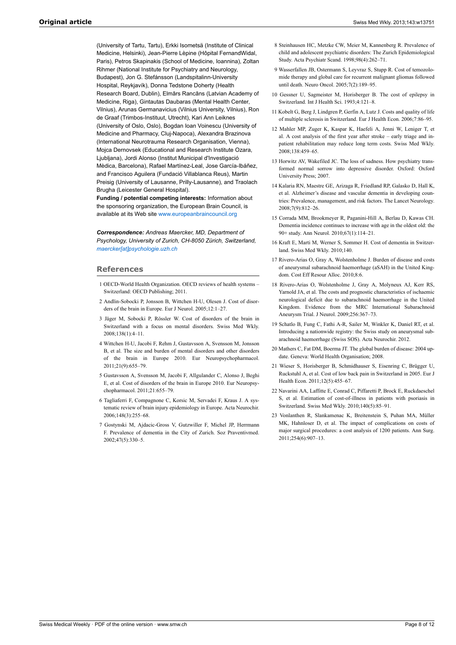<span id="page-7-10"></span><span id="page-7-9"></span><span id="page-7-8"></span><span id="page-7-7"></span>(University of Tartu, Tartu), Erkki Isometsä (Institute of Clinical Medicine, Helsinki), Jean-Pierre Lèpine (Hôpital FernandWidal, Paris), Petros Skapinakis (School of Medicine, Ioannina), Zoltan Rihmer (National Institute for Psychiatry and Neurology, Budapest), Jon G. Stefánsson (Landspitalinn-University Hospital, Reykjavík), Donna Tedstone Doherty (Health Research Board, Dublin), Elmārs Rancāns (Latvian Academy of Medicine, Riga), Gintautas Daubaras (Mental Health Center, Vilnius), Arunas Germanavicius (Vilnius University, Vilnius), Ron de Graaf (Trimbos-Instituut, Utrecht), Kari Ann Leiknes (University of Oslo, Oslo), Bogdan Ioan Voinescu (University of Medicine and Pharmacy, Cluj-Napoca), Alexandra Brazinova (International Neurotrauma Research Organisation, Vienna), Mojca Dernovsek (Educational and Research Institute Ozara, Ljubljana), Jordi Alonso (Institut Municipal d'Investigació Mèdica, Barcelona), Rafael Martínez-Leal, Jose García-Ibáñez, and Francisco Aguilera (Fundació Villablanca Reus), Martin Preisig (University of Lausanne, Prilly-Lausanne), and Traolach Brugha (Leicester General Hospital).

<span id="page-7-13"></span><span id="page-7-12"></span><span id="page-7-11"></span>**Funding / potential competing interests:** Information about the sponsoring organization, the European Brain Council, is available at its Web site [www.europeanbraincouncil.org](http://www.europeanbraincouncil.org)

<span id="page-7-15"></span><span id="page-7-14"></span>*Correspondence: Andreas Maercker, MD, Department of Psychology, University of Zurich, CH-8050 Zürich, Switzerland, [maercker\[at\]psychologie.uzh.ch](mailto:maercker@psychologie.uzh.ch)*

#### <span id="page-7-17"></span><span id="page-7-16"></span><span id="page-7-0"></span>**References**

- 1 OECD-World Health Organization. OECD reviews of health systems Switzerland: OECD Publishing; 2011.
- <span id="page-7-1"></span>2 Andlin-Sobocki P, Jonsson B, Wittchen H-U, Olesen J. Cost of disorders of the brain in Europe. Eur J Neurol. 2005;12:1–27.
- <span id="page-7-18"></span><span id="page-7-2"></span>3 Jäger M, Sobocki P, Rössler W. Cost of disorders of the brain in Switzerland with a focus on mental disorders. Swiss Med Wkly. 2008;138(1):4–11.
- <span id="page-7-19"></span><span id="page-7-3"></span>4 Wittchen H-U, Jacobi F, Rehm J, Gustavsson A, Svensson M, Jonsson B, et al. The size and burden of mental disorders and other disorders of the brain in Europe 2010. Eur Neuropsychopharmacol. 2011;21(9):655–79.
- <span id="page-7-20"></span><span id="page-7-4"></span>5 Gustavsson A, Svensson M, Jacobi F, Allgulander C, Alonso J, Beghi E, et al. Cost of disorders of the brain in Europe 2010. Eur Neuropsychopharmacol. 2011;21:655–79.
- <span id="page-7-21"></span><span id="page-7-5"></span>6 Tagliaferri F, Compagnone C, Korsic M, Servadei F, Kraus J. A systematic review of brain injury epidemiology in Europe. Acta Neurochir. 2006;148(3):255–68.
- <span id="page-7-22"></span><span id="page-7-6"></span>7 Gostynski M, Ajdacic-Gross V, Gutzwiller F, Michel JP, Herrmann F. Prevalence of dementia in the City of Zurich. Soz Praventivmed. 2002;47(5):330–5.
- 8 Steinhausen HC, Metzke CW, Meier M, Kannenberg R. Prevalence of child and adolescent psychiatric disorders: The Zurich Epidemiological Study. Acta Psychiatr Scand. 1998;98(4):262–71.
- 9 Wasserfallen JB, Ostermann S, Leyvraz S, Stupp R. Cost of temozolomide therapy and global care for recurrent malignant gliomas followed until death. Neuro Oncol. 2005;7(2):189–95.
- 10 Gessner U, Sagmeister M, Horisberger B. The cost of epilepsy in Switzerland. Int J Health Sci. 1993;4:121–8.
- 11 Kobelt G, Berg J, Lindgren P, Gerfin A, Lutz J. Costs and quality of life of multiple sclerosis in Switzerland. Eur J Health Econ. 2006;7:86–95.
- 12 Mahler MP, Zuger K, Kaspar K, Haefeli A, Jenni W, Leniger T, et al. A cost analysis of the first year after stroke – early triage and inpatient rehabilitation may reduce long term costs. Swiss Med Wkly. 2008;138:459–65.
- 13 Horwitz AV, Wakefiled JC. The loss of sadness. How psychiatry transformed normal sorrow into depressive disorder. Oxford: Oxford University Press; 2007.
- 14 Kalaria RN, Maestre GE, Arizaga R, Friedland RP, Galasko D, Hall K, et al. Alzheimer's disease and vascular dementia in developing countries: Prevalence, management, and risk factors. The Lancet Neurology. 2008;7(9):812–26.
- 15 Corrada MM, Brookmeyer R, Paganini-Hill A, Berlau D, Kawas CH. Dementia incidence continues to increase with age in the oldest old: the 90+ study. Ann Neurol. 2010;67(1):114–21.
- 16 Kraft E, Marti M, Werner S, Sommer H. Cost of dementia in Switzerland. Swiss Med Wkly. 2010;140.
- 17 Rivero-Arias O, Gray A, Wolstenholme J. Burden of disease and costs of aneurysmal subarachnoid haemorrhage (aSAH) in the United Kingdom. Cost Eff Resour Alloc. 2010;8:6.
- 18 Rivero-Arias O, Wolstenholme J, Gray A, Molyneux AJ, Kerr RS, Yarnold JA, et al. The costs and prognostic characteristics of ischaemic neurological deficit due to subarachnoid haemorrhage in the United Kingdom. Evidence from the MRC International Subarachnoid Aneurysm Trial. J Neurol. 2009;256:367–73.
- 19 Schatlo B, Fung C, Fathi A-R, Sailer M, Winkler K, Daniel RT, et al. Introducing a nationwide registry: the Swiss study on aneurysmal subarachnoid haemorrhage (Swiss SOS). Acta Neurochir. 2012.
- 20 Mathers C, Fat DM, Boerma JT. The global burden of disease: 2004 update. Geneva: World Health Organisation; 2008.
- 21 Wieser S, Horisberger B, Schmidhauser S, Eisenring C, Brügger U, Ruckstuhl A, et al. Cost of low back pain in Switzerland in 2005. Eur J Health Econ. 2011;12(5):455–67.
- 22 Navarini AA, Laffitte E, Conrad C, Piffaretti P, Brock E, Ruckdaeschel S, et al. Estimation of cost-of-illness in patients with psoriasis in Switzerland. Swiss Med Wkly. 2010;140(5):85–91.
- 23 Vonlanthen R, Slankamenac K, Breitenstein S, Puhan MA, Müller MK, Hahnloser D, et al. The impact of complications on costs of major surgical procedures: a cost analysis of 1200 patients. Ann Surg. 2011;254(6):907–13.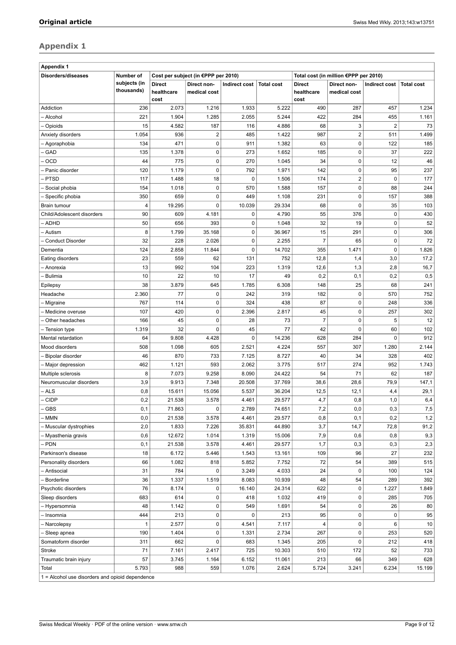# **Appendix 1**

| <b>Appendix 1</b>                               |                            |                                     |                                     |               |                   |                                     |                                       |                |                   |
|-------------------------------------------------|----------------------------|-------------------------------------|-------------------------------------|---------------|-------------------|-------------------------------------|---------------------------------------|----------------|-------------------|
| Disorders/diseases                              | Number of                  |                                     | Cost per subject (in €PPP per 2010) |               |                   |                                     | Total cost (in million €PPP per 2010) |                |                   |
|                                                 | subjects (in<br>thousands) | <b>Direct</b><br>healthcare<br>cost | Direct non-<br>medical cost         | Indirect cost | <b>Total cost</b> | <b>Direct</b><br>healthcare<br>cost | Direct non-<br>medical cost           | Indirect cost  | <b>Total cost</b> |
| Addiction                                       | 236                        | 2.073                               | 1.216                               | 1.933         | 5.222             | 490                                 | 287                                   | 457            | 1.234             |
| - Alcohol                                       | 221                        | 1.904                               | 1.285                               | 2.055         | 5.244             | 422                                 | 284                                   | 455            | 1.161             |
| Opioids                                         | 15                         | 4.582                               | 187                                 | 116           | 4.886             | 68                                  | 3                                     | $\overline{2}$ | 73                |
| Anxiety disorders                               | 1.054                      | 936                                 | $\overline{2}$                      | 485           | 1.422             | 987                                 | $\overline{2}$                        | 511            | 1.499             |
| Agoraphobia                                     | 134                        | 471                                 | $\pmb{0}$                           | 911           | 1.382             | 63                                  | $\pmb{0}$                             | 122            | 185               |
| GAD                                             | 135                        | 1.378                               | $\mathbf 0$                         | 273           | 1.652             | 185                                 | 0                                     | 37             | 222               |
| <b>OCD</b>                                      | 44                         | 775                                 | 0                                   | 270           | 1.045             | 34                                  | $\pmb{0}$                             | 12             | 46                |
| Panic disorder                                  | 120                        | 1.179                               | $\mathbf 0$                         | 792           | 1.971             | 142                                 | 0                                     | 95             | 237               |
| <b>PTSD</b>                                     | 117                        | 1.488                               | 18                                  | $\mathbf 0$   | 1.506             | 174                                 | $\mathbf 2$                           | 0              | 177               |
| Social phobia                                   | 154                        | 1.018                               | $\mathbf 0$                         | 570           | 1.588             | 157                                 | $\mathbf 0$                           | 88             | 244               |
| Specific phobia                                 | 350                        | 659                                 | 0                                   | 449           | 1.108             | 231                                 | 0                                     | 157            | 388               |
| Brain tumour                                    | $\overline{4}$             | 19.295                              | $\mathbf 0$                         | 10.039        | 29.334            | 68                                  | $\mathbf 0$                           | 35             | 103               |
| Child/Adolescent disorders                      | 90                         | 609                                 | 4.181                               | $\mathbf 0$   | 4.790             | 55                                  | 376                                   | $\mathbf 0$    | 430               |
| ADHD                                            | 50                         | 656                                 | 393                                 | 0             | 1.048             | 32                                  | 19                                    | 0              | 52                |
| - Autism                                        | 8                          | 1.799                               | 35.168                              | 0             | 36.967            | 15                                  | 291                                   | 0              | 306               |
| <b>Conduct Disorder</b>                         | 32                         | 228                                 | 2.026                               | $\pmb{0}$     | 2.255             | $\overline{7}$                      | 65                                    | $\mathbf 0$    | 72                |
| Dementia                                        | 124                        | 2.858                               | 11.844                              | $\mathbf 0$   | 14.702            | 355                                 | 1.471                                 | 0              | 1.826             |
| Eating disorders                                | 23                         | 559                                 | 62                                  | 131           | 752               | 12,8                                | 1,4                                   | 3,0            | 17,2              |
| - Anorexia                                      | 13                         | 992                                 | 104                                 | 223           | 1.319             | 12,6                                | 1,3                                   | 2,8            | 16,7              |
| Bulimia                                         | 10                         | 22                                  | 10                                  | 17            | 49                | 0,2                                 | 0,1                                   | 0,2            | 0,5               |
| Epilepsy                                        | 38                         | 3.879                               | 645                                 | 1.785         | 6.308             | 148                                 | 25                                    | 68             | 241               |
| Headache                                        | 2.360                      | 77                                  | 0                                   | 242           | 319               | 182                                 | $\pmb{0}$                             | 570            | 752               |
| Migraine                                        | 767                        | 114                                 | $\mathbf 0$                         | 324           | 438               | 87                                  | $\mathbf 0$                           | 248            | 336               |
| Medicine overuse                                | 107                        | 420                                 | $\mathbf 0$                         | 2.396         | 2.817             | 45                                  | 0                                     | 257            | 302               |
| Other headaches                                 | 166                        | 45                                  | $\mathbf 0$                         | 28            | 73                | $\overline{7}$                      | 0                                     | 5              | 12                |
| Tension type                                    | 1.319                      | 32                                  | $\mathbf 0$                         | 45            | 77                | 42                                  | $\mathbf 0$                           | 60             | 102               |
| Mental retardation                              | 64                         | 9.808                               | 4.428                               | $\mathbf 0$   | 14.236            | 628                                 | 284                                   | 0              | 912               |
| Mood disorders                                  | 508                        | 1.098                               | 605                                 | 2.521         | 4.224             | 557                                 | 307                                   | 1.280          | 2.144             |
| Bipolar disorder                                | 46                         | 870                                 | 733                                 | 7.125         | 8.727             | 40                                  | 34                                    | 328            | 402               |
| Major depression                                | 462                        | 1.121                               | 593                                 | 2.062         | 3.775             | 517                                 | 274                                   | 952            | 1.743             |
| Multiple sclerosis                              | 8                          | 7.073                               | 9.258                               | 8.090         | 24.422            | 54                                  | 71                                    | 62             | 187               |
| Neuromuscular disorders                         | 3,9                        | 9.913                               | 7.348                               | 20.508        | 37.769            | 38,6                                | 28,6                                  | 79,9           | 147,1             |
| - ALS                                           | 0,8                        | 15.611                              | 15.056                              | 5.537         | 36.204            | 12,5                                | 12,1                                  | 4,4            | 29,1              |
| <b>CIDP</b>                                     | 0,2                        | 21.538                              | 3.578                               | 4.461         | 29.577            | 4,7                                 | 0,8                                   | 1,0            | 6,4               |
| <b>GBS</b>                                      | 0,1                        | 71.863                              | 0                                   | 2.789         | 74.651            | 7,2                                 | 0,0                                   | 0,3            | 7,5               |
| <b>MMN</b>                                      | 0,0                        | 21.538                              | 3.578                               | 4.461         | 29.577            | 0,8                                 | 0,1                                   | 0,2            | 1,2               |
| Muscular dystrophies                            | 2,0                        | 1.833                               | 7.226                               | 35.831        | 44.890            | 3,7                                 | 14,7                                  | 72,8           | 91,2              |
| Myasthenia gravis                               | 0,6                        | 12.672                              | 1.014                               | 1.319         | 15.006            | 7,9                                 | 0,6                                   | 0,8            | 9,3               |
| - PDN                                           | 0,1                        | 21.538                              | 3.578                               | 4.461         | 29.577            | 1,7                                 | 0,3                                   | 0,3            | 2,3               |
| Parkinson's disease                             | 18                         | 6.172                               | 5.446                               | 1.543         | 13.161            | 109                                 | 96                                    | 27             | 232               |
| Personality disorders                           | 66                         | 1.082                               | 818                                 | 5.852         | 7.752             | 72                                  | 54                                    | 389            | 515               |
| - Antisocial                                    | 31                         | 784                                 | 0                                   | 3.249         | 4.033             | 24                                  | 0                                     | 100            | 124               |
| Borderline                                      | 36                         | 1.337                               | 1.519                               | 8.083         | 10.939            | 48                                  | 54                                    | 289            | 392               |
| Psychotic disorders                             | 76                         | 8.174                               | 0                                   | 16.140        | 24.314            | 622                                 | 0                                     | 1.227          | 1.849             |
| Sleep disorders                                 | 683                        | 614                                 | $\pmb{0}$                           | 418           | 1.032             | 419                                 | 0                                     | 285            | 705               |
| - Hypersomnia                                   | 48                         | 1.142                               | 0                                   | 549           | 1.691             | 54                                  | 0                                     | 26             | 80                |
| Insomnia                                        | 444                        | 213                                 | 0                                   | 0             | 213               | 95                                  | 0                                     | 0              | 95                |
| Narcolepsy                                      | 1                          | 2.577                               | 0                                   | 4.541         | 7.117             | 4                                   | 0                                     | 6              | 10                |
| - Sleep apnea                                   | 190                        | 1.404                               | 0                                   | 1.331         | 2.734             | 267                                 | $\pmb{0}$                             | 253            | 520               |
| Somatoform disorder                             | 311                        | 662                                 | $\mathbf 0$                         | 683           | 1.345             | 205                                 | 0                                     | 212            | 418               |
| Stroke                                          | 71                         | 7.161                               | 2.417                               | 725           | 10.303            | 510                                 | 172                                   | 52             | 733               |
| Traumatic brain injury                          | 57                         | 3.745                               | 1.164                               | 6.152         | 11.061            | 213                                 | 66                                    | 349            | 628               |
| Total                                           | 5.793                      | 988                                 | 559                                 | 1.076         | 2.624             | 5.724                               | 3.241                                 | 6.234          | 15.199            |
| 1 = Alcohol use disorders and opioid dependence |                            |                                     |                                     |               |                   |                                     |                                       |                |                   |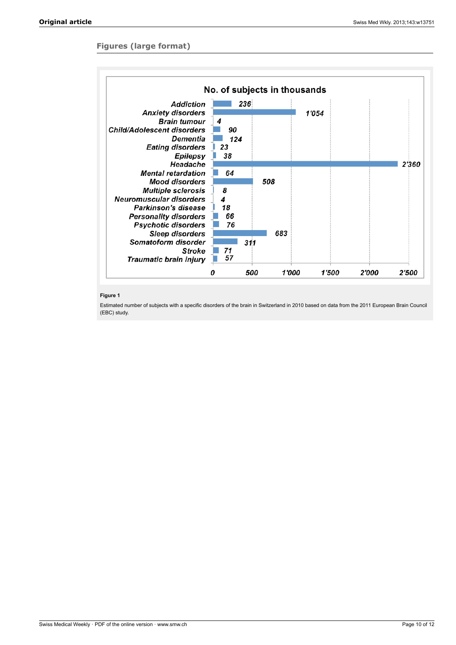# **Figures (large format)**



# **Figure 1**

Estimated number of subjects with a specific disorders of the brain in Switzerland in 2010 based on data from the 2011 European Brain Council (EBC) study.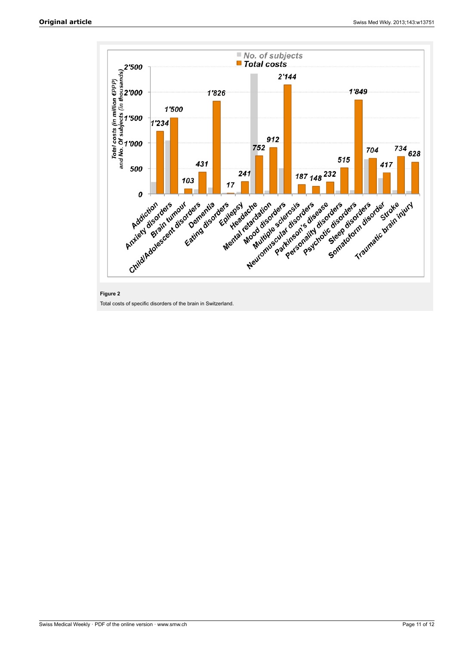

# **Figure 2**

Total costs of specific disorders of the brain in Switzerland.